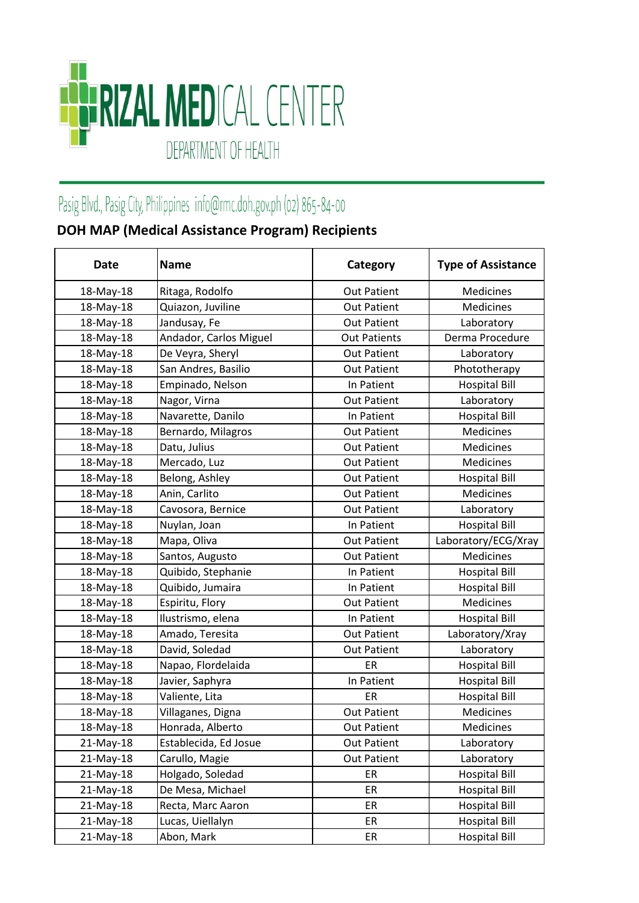

## Pasig Blvd., Pasig City, Philippines info@rmc.doh.gov.ph (02) 865-84-00

## **DOH MAP (Medical Assistance Program) Recipients**

| <b>Date</b> | <b>Name</b>            | Category            | <b>Type of Assistance</b> |
|-------------|------------------------|---------------------|---------------------------|
| 18-May-18   | Ritaga, Rodolfo        | <b>Out Patient</b>  | Medicines                 |
| 18-May-18   | Quiazon, Juviline      | <b>Out Patient</b>  | <b>Medicines</b>          |
| 18-May-18   | Jandusay, Fe           | <b>Out Patient</b>  | Laboratory                |
| 18-May-18   | Andador, Carlos Miguel | <b>Out Patients</b> | Derma Procedure           |
| 18-May-18   | De Veyra, Sheryl       | <b>Out Patient</b>  | Laboratory                |
| 18-May-18   | San Andres, Basilio    | <b>Out Patient</b>  | Phototherapy              |
| 18-May-18   | Empinado, Nelson       | In Patient          | <b>Hospital Bill</b>      |
| 18-May-18   | Nagor, Virna           | <b>Out Patient</b>  | Laboratory                |
| 18-May-18   | Navarette, Danilo      | In Patient          | <b>Hospital Bill</b>      |
| 18-May-18   | Bernardo, Milagros     | <b>Out Patient</b>  | <b>Medicines</b>          |
| 18-May-18   | Datu, Julius           | <b>Out Patient</b>  | <b>Medicines</b>          |
| 18-May-18   | Mercado, Luz           | <b>Out Patient</b>  | <b>Medicines</b>          |
| 18-May-18   | Belong, Ashley         | <b>Out Patient</b>  | <b>Hospital Bill</b>      |
| 18-May-18   | Anin, Carlito          | <b>Out Patient</b>  | Medicines                 |
| 18-May-18   | Cavosora, Bernice      | <b>Out Patient</b>  | Laboratory                |
| 18-May-18   | Nuylan, Joan           | In Patient          | <b>Hospital Bill</b>      |
| 18-May-18   | Mapa, Oliva            | <b>Out Patient</b>  | Laboratory/ECG/Xray       |
| 18-May-18   | Santos, Augusto        | <b>Out Patient</b>  | Medicines                 |
| 18-May-18   | Quibido, Stephanie     | In Patient          | <b>Hospital Bill</b>      |
| 18-May-18   | Quibido, Jumaira       | In Patient          | <b>Hospital Bill</b>      |
| 18-May-18   | Espiritu, Flory        | <b>Out Patient</b>  | Medicines                 |
| 18-May-18   | Ilustrismo, elena      | In Patient          | <b>Hospital Bill</b>      |
| 18-May-18   | Amado, Teresita        | <b>Out Patient</b>  | Laboratory/Xray           |
| 18-May-18   | David, Soledad         | <b>Out Patient</b>  | Laboratory                |
| 18-May-18   | Napao, Flordelaida     | ER                  | <b>Hospital Bill</b>      |
| 18-May-18   | Javier, Saphyra        | In Patient          | <b>Hospital Bill</b>      |
| 18-May-18   | Valiente, Lita         | ER                  | <b>Hospital Bill</b>      |
| 18-May-18   | Villaganes, Digna      | <b>Out Patient</b>  | Medicines                 |
| 18-May-18   | Honrada, Alberto       | <b>Out Patient</b>  | Medicines                 |
| 21-May-18   | Establecida, Ed Josue  | <b>Out Patient</b>  | Laboratory                |
| 21-May-18   | Carullo, Magie         | <b>Out Patient</b>  | Laboratory                |
| 21-May-18   | Holgado, Soledad       | ER                  | <b>Hospital Bill</b>      |
| 21-May-18   | De Mesa, Michael       | ER                  | <b>Hospital Bill</b>      |
| 21-May-18   | Recta, Marc Aaron      | ER                  | <b>Hospital Bill</b>      |
| 21-May-18   | Lucas, Uiellalyn       | ER                  | <b>Hospital Bill</b>      |
| 21-May-18   | Abon, Mark             | ER                  | <b>Hospital Bill</b>      |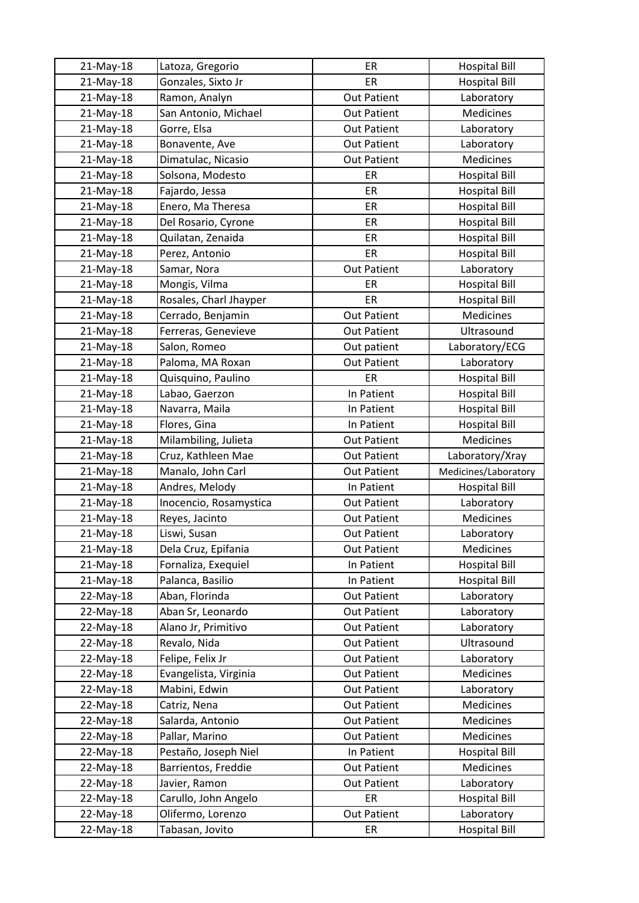| 21-May-18 | Latoza, Gregorio       | ER                 | <b>Hospital Bill</b> |
|-----------|------------------------|--------------------|----------------------|
| 21-May-18 | Gonzales, Sixto Jr     | ER                 | <b>Hospital Bill</b> |
| 21-May-18 | Ramon, Analyn          | <b>Out Patient</b> | Laboratory           |
| 21-May-18 | San Antonio, Michael   | <b>Out Patient</b> | Medicines            |
| 21-May-18 | Gorre, Elsa            | <b>Out Patient</b> | Laboratory           |
| 21-May-18 | Bonavente, Ave         | <b>Out Patient</b> | Laboratory           |
| 21-May-18 | Dimatulac, Nicasio     | <b>Out Patient</b> | Medicines            |
| 21-May-18 | Solsona, Modesto       | ER                 | <b>Hospital Bill</b> |
| 21-May-18 | Fajardo, Jessa         | ER                 | <b>Hospital Bill</b> |
| 21-May-18 | Enero, Ma Theresa      | ER                 | <b>Hospital Bill</b> |
| 21-May-18 | Del Rosario, Cyrone    | ER                 | <b>Hospital Bill</b> |
| 21-May-18 | Quilatan, Zenaida      | ER                 | <b>Hospital Bill</b> |
| 21-May-18 | Perez, Antonio         | ER                 | <b>Hospital Bill</b> |
| 21-May-18 | Samar, Nora            | <b>Out Patient</b> | Laboratory           |
| 21-May-18 | Mongis, Vilma          | ER                 | <b>Hospital Bill</b> |
| 21-May-18 | Rosales, Charl Jhayper | ER                 | <b>Hospital Bill</b> |
| 21-May-18 | Cerrado, Benjamin      | <b>Out Patient</b> | Medicines            |
| 21-May-18 | Ferreras, Genevieve    | <b>Out Patient</b> | Ultrasound           |
| 21-May-18 | Salon, Romeo           | Out patient        | Laboratory/ECG       |
| 21-May-18 | Paloma, MA Roxan       | <b>Out Patient</b> | Laboratory           |
| 21-May-18 | Quisquino, Paulino     | ER                 | <b>Hospital Bill</b> |
| 21-May-18 | Labao, Gaerzon         | In Patient         | <b>Hospital Bill</b> |
| 21-May-18 | Navarra, Maila         | In Patient         | <b>Hospital Bill</b> |
| 21-May-18 | Flores, Gina           | In Patient         | <b>Hospital Bill</b> |
| 21-May-18 | Milambiling, Julieta   | <b>Out Patient</b> | Medicines            |
| 21-May-18 | Cruz, Kathleen Mae     | <b>Out Patient</b> | Laboratory/Xray      |
| 21-May-18 | Manalo, John Carl      | <b>Out Patient</b> | Medicines/Laboratory |
| 21-May-18 | Andres, Melody         | In Patient         | <b>Hospital Bill</b> |
| 21-May-18 | Inocencio, Rosamystica | <b>Out Patient</b> | Laboratory           |
| 21-May-18 | Reyes, Jacinto         | <b>Out Patient</b> | Medicines            |
| 21-May-18 | Liswi, Susan           | <b>Out Patient</b> | Laboratory           |
| 21-May-18 | Dela Cruz, Epifania    | Out Patient        | Medicines            |
| 21-May-18 | Fornaliza, Exequiel    | In Patient         | <b>Hospital Bill</b> |
| 21-May-18 | Palanca, Basilio       | In Patient         | <b>Hospital Bill</b> |
| 22-May-18 | Aban, Florinda         | <b>Out Patient</b> | Laboratory           |
| 22-May-18 | Aban Sr, Leonardo      | <b>Out Patient</b> | Laboratory           |
| 22-May-18 | Alano Jr, Primitivo    | <b>Out Patient</b> | Laboratory           |
| 22-May-18 | Revalo, Nida           | <b>Out Patient</b> | Ultrasound           |
| 22-May-18 | Felipe, Felix Jr       | <b>Out Patient</b> | Laboratory           |
| 22-May-18 | Evangelista, Virginia  | <b>Out Patient</b> | Medicines            |
| 22-May-18 | Mabini, Edwin          | <b>Out Patient</b> | Laboratory           |
| 22-May-18 | Catriz, Nena           | <b>Out Patient</b> | Medicines            |
| 22-May-18 |                        |                    |                      |
|           | Salarda, Antonio       | <b>Out Patient</b> | Medicines            |
| 22-May-18 | Pallar, Marino         | Out Patient        | Medicines            |
| 22-May-18 | Pestaño, Joseph Niel   | In Patient         | <b>Hospital Bill</b> |
| 22-May-18 | Barrientos, Freddie    | <b>Out Patient</b> | Medicines            |
| 22-May-18 | Javier, Ramon          | <b>Out Patient</b> | Laboratory           |
| 22-May-18 | Carullo, John Angelo   | ER                 | <b>Hospital Bill</b> |
| 22-May-18 | Olifermo, Lorenzo      | <b>Out Patient</b> | Laboratory           |
| 22-May-18 | Tabasan, Jovito        | ER                 | <b>Hospital Bill</b> |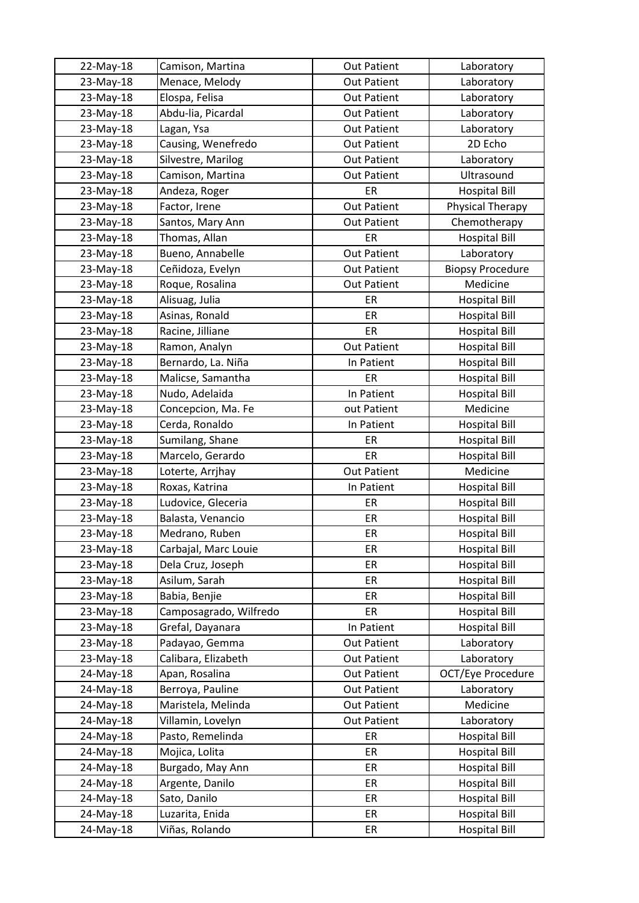| 22-May-18 | Camison, Martina       | <b>Out Patient</b> | Laboratory              |
|-----------|------------------------|--------------------|-------------------------|
| 23-May-18 | Menace, Melody         | <b>Out Patient</b> | Laboratory              |
| 23-May-18 | Elospa, Felisa         | <b>Out Patient</b> | Laboratory              |
| 23-May-18 | Abdu-lia, Picardal     | <b>Out Patient</b> | Laboratory              |
| 23-May-18 | Lagan, Ysa             | <b>Out Patient</b> | Laboratory              |
| 23-May-18 | Causing, Wenefredo     | <b>Out Patient</b> | 2D Echo                 |
| 23-May-18 | Silvestre, Marilog     | <b>Out Patient</b> | Laboratory              |
| 23-May-18 | Camison, Martina       | <b>Out Patient</b> | Ultrasound              |
| 23-May-18 | Andeza, Roger          | ER                 | <b>Hospital Bill</b>    |
| 23-May-18 | Factor, Irene          | <b>Out Patient</b> | Physical Therapy        |
| 23-May-18 | Santos, Mary Ann       | <b>Out Patient</b> | Chemotherapy            |
| 23-May-18 | Thomas, Allan          | ER                 | <b>Hospital Bill</b>    |
| 23-May-18 | Bueno, Annabelle       | <b>Out Patient</b> | Laboratory              |
| 23-May-18 | Ceñidoza, Evelyn       | <b>Out Patient</b> | <b>Biopsy Procedure</b> |
| 23-May-18 | Roque, Rosalina        | <b>Out Patient</b> | Medicine                |
| 23-May-18 | Alisuag, Julia         | ER                 | <b>Hospital Bill</b>    |
| 23-May-18 | Asinas, Ronald         | ER                 | <b>Hospital Bill</b>    |
| 23-May-18 | Racine, Jilliane       | ER                 | <b>Hospital Bill</b>    |
| 23-May-18 | Ramon, Analyn          | <b>Out Patient</b> | <b>Hospital Bill</b>    |
| 23-May-18 | Bernardo, La. Niña     | In Patient         | <b>Hospital Bill</b>    |
| 23-May-18 | Malicse, Samantha      | ER                 | <b>Hospital Bill</b>    |
| 23-May-18 | Nudo, Adelaida         | In Patient         | <b>Hospital Bill</b>    |
| 23-May-18 | Concepcion, Ma. Fe     | out Patient        | Medicine                |
| 23-May-18 | Cerda, Ronaldo         | In Patient         | <b>Hospital Bill</b>    |
| 23-May-18 | Sumilang, Shane        | ER                 | <b>Hospital Bill</b>    |
| 23-May-18 | Marcelo, Gerardo       | ER                 | <b>Hospital Bill</b>    |
| 23-May-18 | Loterte, Arrjhay       | <b>Out Patient</b> | Medicine                |
| 23-May-18 | Roxas, Katrina         | In Patient         | <b>Hospital Bill</b>    |
| 23-May-18 | Ludovice, Gleceria     | ER                 | <b>Hospital Bill</b>    |
| 23-May-18 | Balasta, Venancio      | ER                 | <b>Hospital Bill</b>    |
| 23-May-18 | Medrano, Ruben         | ER                 | <b>Hospital Bill</b>    |
| 23-May-18 | Carbajal, Marc Louie   | ER                 | <b>Hospital Bill</b>    |
| 23-May-18 | Dela Cruz, Joseph      | ER                 | <b>Hospital Bill</b>    |
| 23-May-18 | Asilum, Sarah          | ER                 | <b>Hospital Bill</b>    |
| 23-May-18 | Babia, Benjie          | ER                 | <b>Hospital Bill</b>    |
| 23-May-18 | Camposagrado, Wilfredo | ER                 | <b>Hospital Bill</b>    |
| 23-May-18 | Grefal, Dayanara       | In Patient         | <b>Hospital Bill</b>    |
| 23-May-18 | Padayao, Gemma         | <b>Out Patient</b> | Laboratory              |
| 23-May-18 | Calibara, Elizabeth    | <b>Out Patient</b> | Laboratory              |
| 24-May-18 | Apan, Rosalina         | <b>Out Patient</b> | OCT/Eye Procedure       |
| 24-May-18 | Berroya, Pauline       | <b>Out Patient</b> | Laboratory              |
| 24-May-18 | Maristela, Melinda     | <b>Out Patient</b> | Medicine                |
| 24-May-18 | Villamin, Lovelyn      | <b>Out Patient</b> | Laboratory              |
| 24-May-18 | Pasto, Remelinda       | ER                 | Hospital Bill           |
| 24-May-18 | Mojica, Lolita         | ER                 | <b>Hospital Bill</b>    |
| 24-May-18 | Burgado, May Ann       | ER                 | <b>Hospital Bill</b>    |
| 24-May-18 | Argente, Danilo        | ER                 | <b>Hospital Bill</b>    |
| 24-May-18 | Sato, Danilo           | ER                 | <b>Hospital Bill</b>    |
| 24-May-18 | Luzarita, Enida        | ER                 | <b>Hospital Bill</b>    |
| 24-May-18 | Viñas, Rolando         | ER                 | <b>Hospital Bill</b>    |